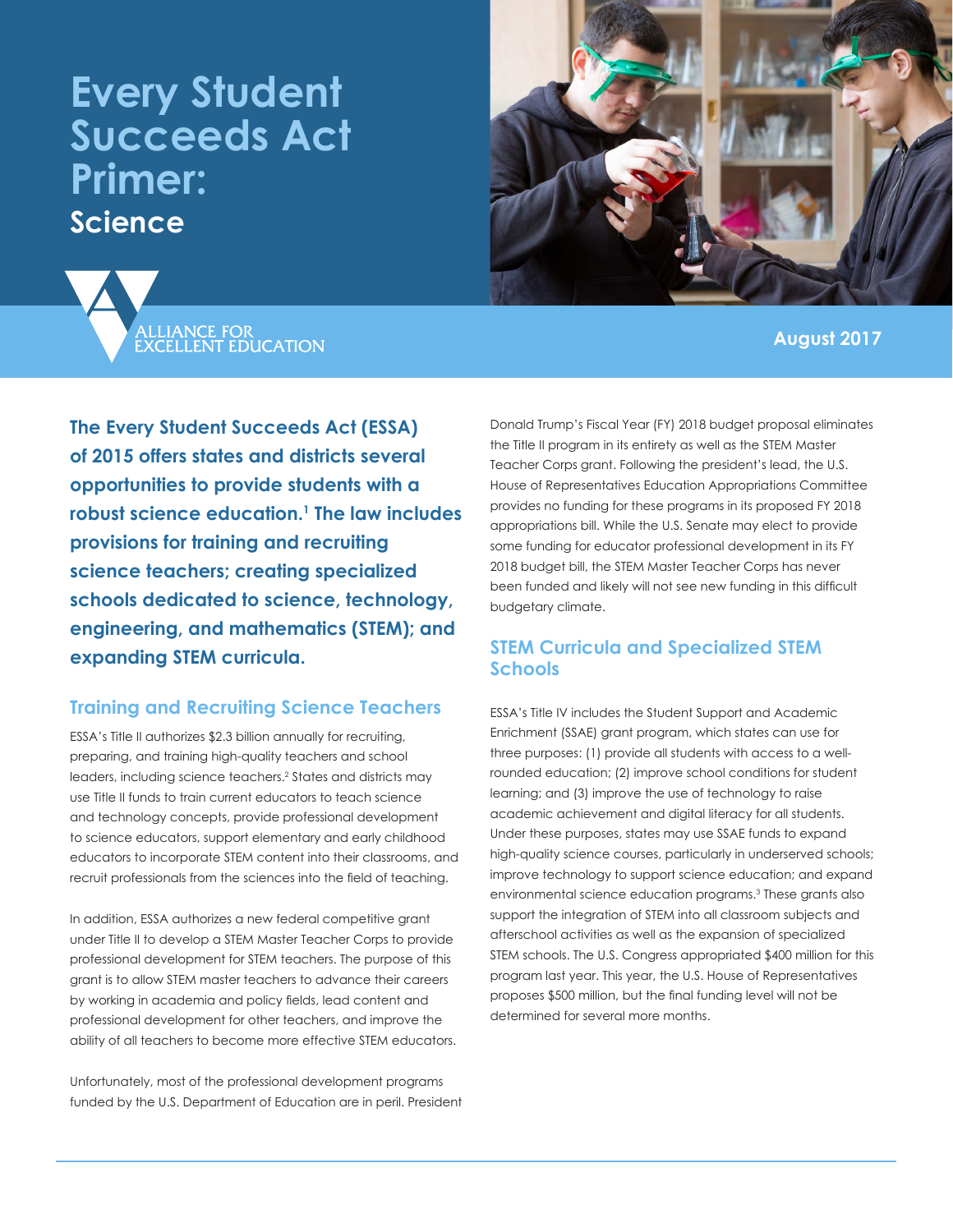# **Every Student Succeeds Act Primer: Science**



ALLIANCE FOR<br>EXCELLENT EDUCATION

**August 2017**

**The Every Student Succeeds Act (ESSA) of 2015 offers states and districts several opportunities to provide students with a robust science education.1 The law includes provisions for training and recruiting science teachers; creating specialized schools dedicated to science, technology, engineering, and mathematics (STEM); and expanding STEM curricula.**

## **Training and Recruiting Science Teachers**

ESSA's Title II authorizes \$2.3 billion annually for recruiting, preparing, and training high-quality teachers and school leaders, including science teachers.<sup>2</sup> States and districts may use Title II funds to train current educators to teach science and technology concepts, provide professional development to science educators, support elementary and early childhood educators to incorporate STEM content into their classrooms, and recruit professionals from the sciences into the field of teaching.

In addition, ESSA authorizes a new federal competitive grant under Title II to develop a STEM Master Teacher Corps to provide professional development for STEM teachers. The purpose of this grant is to allow STEM master teachers to advance their careers by working in academia and policy fields, lead content and professional development for other teachers, and improve the ability of all teachers to become more effective STEM educators.

Unfortunately, most of the professional development programs funded by the U.S. Department of Education are in peril. President Donald Trump's Fiscal Year (FY) 2018 budget proposal eliminates the Title II program in its entirety as well as the STEM Master Teacher Corps grant. Following the president's lead, the U.S. House of Representatives Education Appropriations Committee provides no funding for these programs in its proposed FY 2018 appropriations bill. While the U.S. Senate may elect to provide some funding for educator professional development in its FY 2018 budget bill, the STEM Master Teacher Corps has never been funded and likely will not see new funding in this difficult budgetary climate.

## **STEM Curricula and Specialized STEM Schools**

ESSA's Title IV includes the Student Support and Academic Enrichment (SSAE) grant program, which states can use for three purposes: (1) provide all students with access to a wellrounded education; (2) improve school conditions for student learning; and (3) improve the use of technology to raise academic achievement and digital literacy for all students. Under these purposes, states may use SSAE funds to expand high-quality science courses, particularly in underserved schools; improve technology to support science education; and expand environmental science education programs.3 These grants also support the integration of STEM into all classroom subjects and afterschool activities as well as the expansion of specialized STEM schools. The U.S. Congress appropriated \$400 million for this program last year. This year, the U.S. House of Representatives proposes \$500 million, but the final funding level will not be determined for several more months.